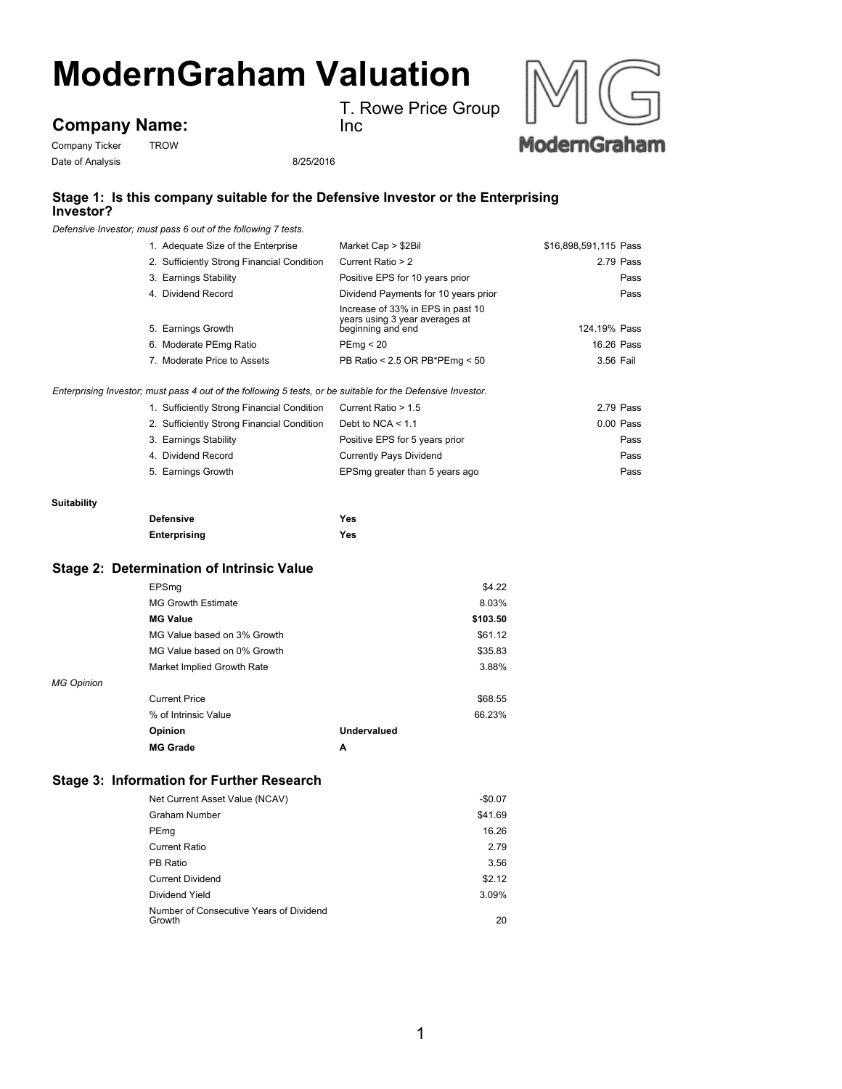# **ModernGraham Valuation**

# Company Ticker TROW **Company Name:**

T. Rowe Price Group Inc



Date of Analysis 8/25/2016

### **Stage 1: Is this company suitable for the Defensive Investor or the Enterprising Investor?**

*Defensive Investor; must pass 6 out of the following 7 tests.*

| 1. Adequate Size of the Enterprise                                                                          | Market Cap > \$2Bil                                                                      | \$16,898,591,115 Pass                        |
|-------------------------------------------------------------------------------------------------------------|------------------------------------------------------------------------------------------|----------------------------------------------|
| 2. Sufficiently Strong Financial Condition                                                                  | Current Ratio > 2                                                                        | 2.79 Pass                                    |
| 3. Earnings Stability                                                                                       | Positive EPS for 10 years prior                                                          | Pass                                         |
| 4. Dividend Record                                                                                          |                                                                                          | Dividend Payments for 10 years prior<br>Pass |
| 5. Earnings Growth                                                                                          | Increase of 33% in EPS in past 10<br>years using 3 year averages at<br>beginning and end | 124.19% Pass                                 |
| 6. Moderate PEmg Ratio                                                                                      | PEma < 20                                                                                | 16.26 Pass                                   |
| 7. Moderate Price to Assets                                                                                 | PB Ratio < 2.5 OR PB*PEmg < 50                                                           | 3.56 Fail                                    |
| Enterprising Investor; must pass 4 out of the following 5 tests, or be suitable for the Defensive Investor. |                                                                                          |                                              |

| 1. Sufficiently Strong Financial Condition | Current Ratio > 1.5            | 2.79 Pass |
|--------------------------------------------|--------------------------------|-----------|
| 2. Sufficiently Strong Financial Condition | Debt to NCA $< 1.1$            | 0.00 Pass |
| 3. Earnings Stability                      | Positive EPS for 5 years prior | Pass      |
| 4. Dividend Record                         | <b>Currently Pays Dividend</b> | Pass      |
| 5. Earnings Growth                         | EPSmg greater than 5 years ago | Pass      |

#### **Suitability**

| <b>Defensive</b> | Yes |
|------------------|-----|
| Enterprising     | Yes |

## **Stage 2: Determination of Intrinsic Value**

|                   | EPSmq                       |             | \$4.22   |
|-------------------|-----------------------------|-------------|----------|
|                   | <b>MG Growth Estimate</b>   |             | 8.03%    |
|                   | <b>MG Value</b>             |             | \$103.50 |
|                   | MG Value based on 3% Growth |             | \$61.12  |
|                   | MG Value based on 0% Growth |             | \$35.83  |
|                   | Market Implied Growth Rate  |             | 3.88%    |
| <b>MG Opinion</b> |                             |             |          |
|                   | <b>Current Price</b>        |             | \$68.55  |
|                   | % of Intrinsic Value        |             | 66.23%   |
|                   | Opinion                     | Undervalued |          |
|                   | <b>MG Grade</b>             | A           |          |

#### **Stage 3: Information for Further Research**

| Net Current Asset Value (NCAV)                    | $-$0.07$ |
|---------------------------------------------------|----------|
| <b>Graham Number</b>                              | \$41.69  |
| PEmg                                              | 16.26    |
| <b>Current Ratio</b>                              | 2.79     |
| PB Ratio                                          | 3.56     |
| <b>Current Dividend</b>                           | \$2.12   |
| Dividend Yield                                    | 3.09%    |
| Number of Consecutive Years of Dividend<br>Growth | 20       |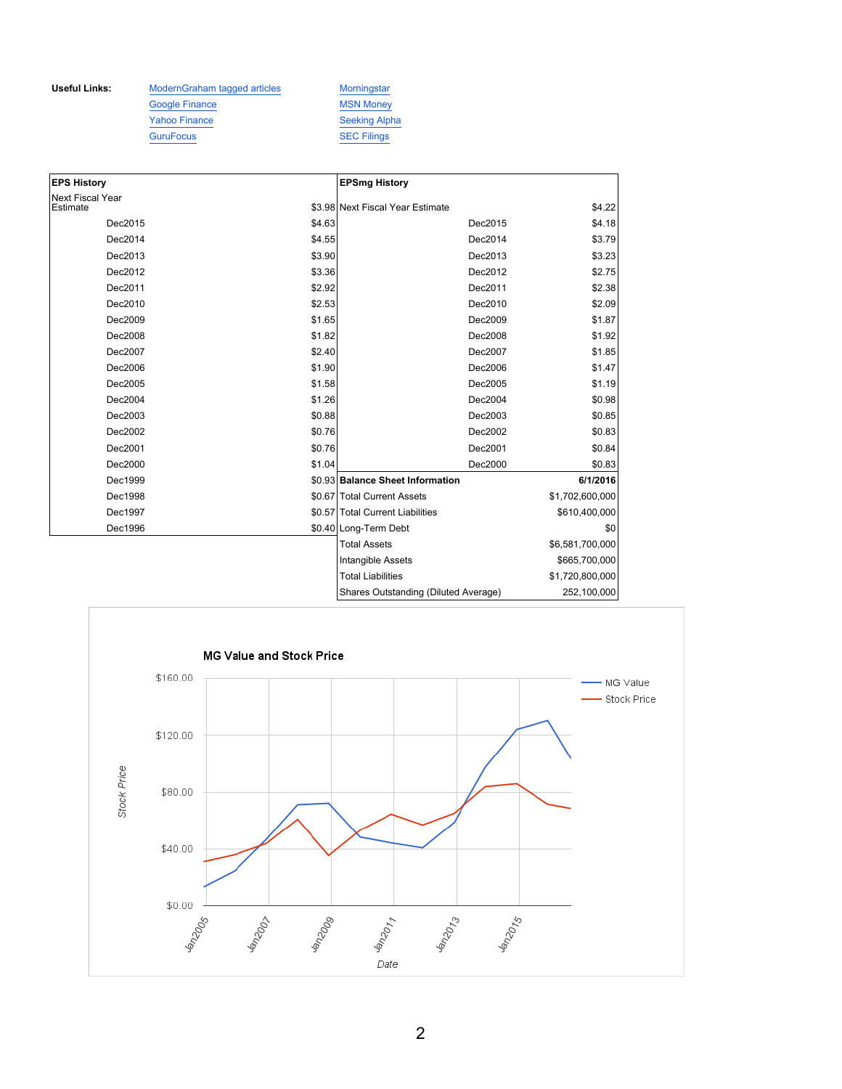Useful Links: ModernGraham tagged articles Morningstar Google Finance MSN Money Yahoo Finance Seeking Alpha GuruFocus SEC Filings

| <b>EPS History</b>                  |        | <b>EPSmg History</b>                 |                 |
|-------------------------------------|--------|--------------------------------------|-----------------|
| <b>Next Fiscal Year</b><br>Estimate |        | \$3.98 Next Fiscal Year Estimate     | \$4.22          |
| Dec2015                             | \$4.63 | Dec2015                              |                 |
|                                     |        |                                      | \$4.18          |
| Dec2014                             | \$4.55 | Dec2014                              | \$3.79          |
| Dec2013                             | \$3.90 | Dec2013                              | \$3.23          |
| Dec2012                             | \$3.36 | Dec2012                              | \$2.75          |
| Dec2011                             | \$2.92 | Dec2011                              | \$2.38          |
| Dec2010                             | \$2.53 | Dec2010                              | \$2.09          |
| Dec2009                             | \$1.65 | Dec2009                              | \$1.87          |
| Dec2008                             | \$1.82 | Dec2008                              | \$1.92          |
| Dec2007                             | \$2.40 | Dec2007                              | \$1.85          |
| Dec2006                             | \$1.90 | Dec2006                              | \$1.47          |
| Dec2005                             | \$1.58 | Dec2005                              | \$1.19          |
| Dec2004                             | \$1.26 | Dec2004                              | \$0.98          |
| Dec2003                             | \$0.88 | Dec2003                              | \$0.85          |
| Dec2002                             | \$0.76 | Dec2002                              | \$0.83          |
| Dec2001                             | \$0.76 | Dec2001                              | \$0.84          |
| Dec2000                             | \$1.04 | Dec2000                              | \$0.83          |
| Dec1999                             |        | \$0.93 Balance Sheet Information     | 6/1/2016        |
| Dec1998                             |        | \$0.67 Total Current Assets          | \$1,702,600,000 |
| Dec1997                             |        | \$0.57 Total Current Liabilities     | \$610,400,000   |
| Dec1996                             |        | \$0.40 Long-Term Debt                | \$0             |
|                                     |        | <b>Total Assets</b>                  | \$6,581,700,000 |
|                                     |        | Intangible Assets                    | \$665,700,000   |
|                                     |        | <b>Total Liabilities</b>             | \$1,720,800,000 |
|                                     |        | Shares Outstanding (Diluted Average) | 252,100,000     |